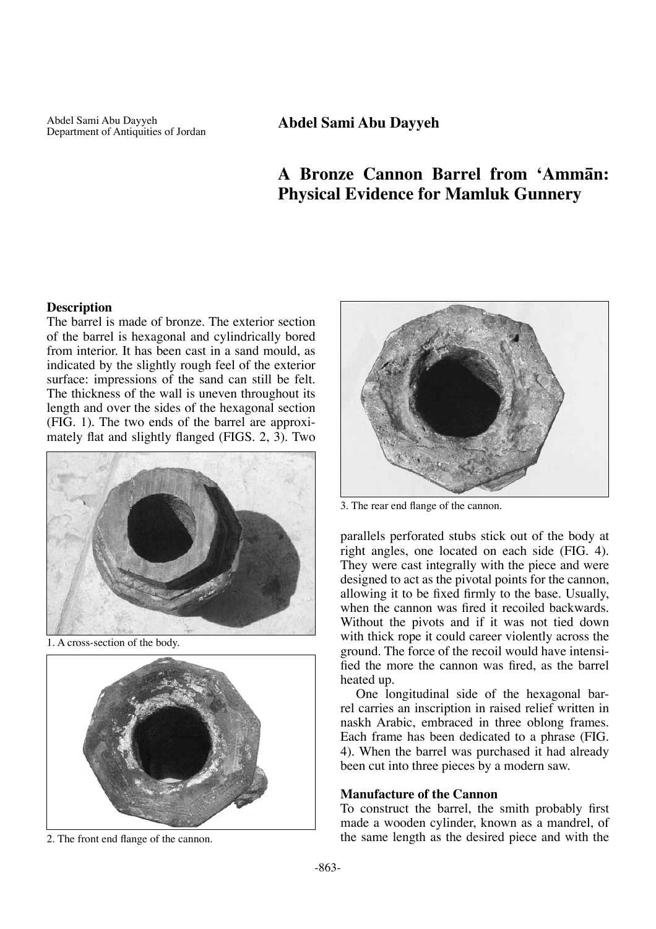Department of Antiquities of Jordan **Abdel Sami Abu Dayyeh**

# **A Bronze Cannon Barrel from 'Ammån: Physical Evidence for Mamluk Gunnery**

## **Description**

The barrel is made of bronze. The exterior section of the barrel is hexagonal and cylindrically bored from interior. It has been cast in a sand mould, as indicated by the slightly rough feel of the exterior surface: impressions of the sand can still be felt. The thickness of the wall is uneven throughout its length and over the sides of the hexagonal section (FIG. 1). The two ends of the barrel are approximately flat and slightly flanged (FIGS. 2, 3). Two



1. A cross-section of the body.





3. The rear end flange of the cannon.

parallels perforated stubs stick out of the body at right angles, one located on each side (FIG. 4). They were cast integrally with the piece and were designed to act as the pivotal points for the cannon, allowing it to be fixed firmly to the base. Usually, when the cannon was fired it recoiled backwards. Without the pivots and if it was not tied down with thick rope it could career violently across the ground. The force of the recoil would have intensified the more the cannon was fired, as the barrel heated up.

One longitudinal side of the hexagonal barrel carries an inscription in raised relief written in naskh Arabic, embraced in three oblong frames. Each frame has been dedicated to a phrase (FIG. 4). When the barrel was purchased it had already been cut into three pieces by a modern saw.

## **Manufacture of the Cannon**

To construct the barrel, the smith probably first made a wooden cylinder, known as a mandrel, of 2. The front end flange of the cannon. the same length as the desired piece and with the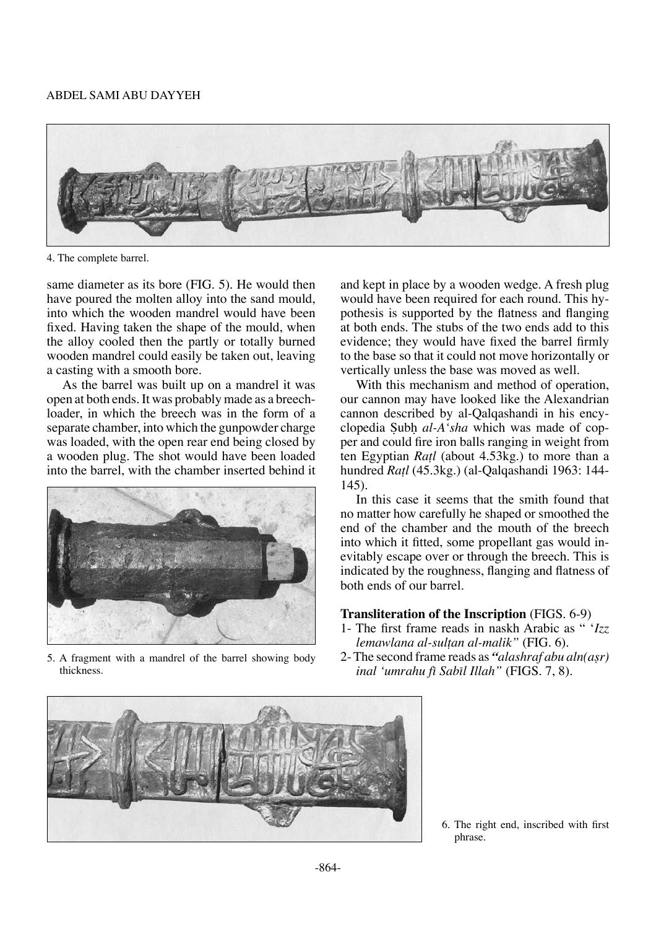

4. The complete barrel.

same diameter as its bore (FIG. 5). He would then have poured the molten alloy into the sand mould, into which the wooden mandrel would have been fixed. Having taken the shape of the mould, when the alloy cooled then the partly or totally burned wooden mandrel could easily be taken out, leaving a casting with a smooth bore.

As the barrel was built up on a mandrel it was open at both ends. It was probably made as a breechloader, in which the breech was in the form of a separate chamber, into which the gunpowder charge was loaded, with the open rear end being closed by a wooden plug. The shot would have been loaded into the barrel, with the chamber inserted behind it



5. A fragment with a mandrel of the barrel showing body thickness.

and kept in place by a wooden wedge. A fresh plug would have been required for each round. This hypothesis is supported by the flatness and flanging at both ends. The stubs of the two ends add to this evidence; they would have fixed the barrel firmly to the base so that it could not move horizontally or vertically unless the base was moved as well.

With this mechanism and method of operation, our cannon may have looked like the Alexandrian cannon described by al-Qalqashandi in his encyclopedia Subh al-A'sha which was made of copper and could fire iron balls ranging in weight from ten Egyptian *Ra†l* (about 4.53kg.) to more than a hundred *Ra†l* (45.3kg.) (al-Qalqashandi 1963: 144- 145).

In this case it seems that the smith found that no matter how carefully he shaped or smoothed the end of the chamber and the mouth of the breech into which it fitted, some propellant gas would inevitably escape over or through the breech. This is indicated by the roughness, flanging and flatness of both ends of our barrel.

## **Transliteration of the Inscription** (FIGS. 6-9)

- 1- The first frame reads in naskh Arabic as " '*Izz lemawlana al-sul†an al-malik"* (FIG. 6).
- 2- The second frame reads as *"alashraf abu aln(aßr) inal 'umrahu fī Sabīl Illah''* (FIGS. 7, 8).



6. The right end, inscribed with first phrase.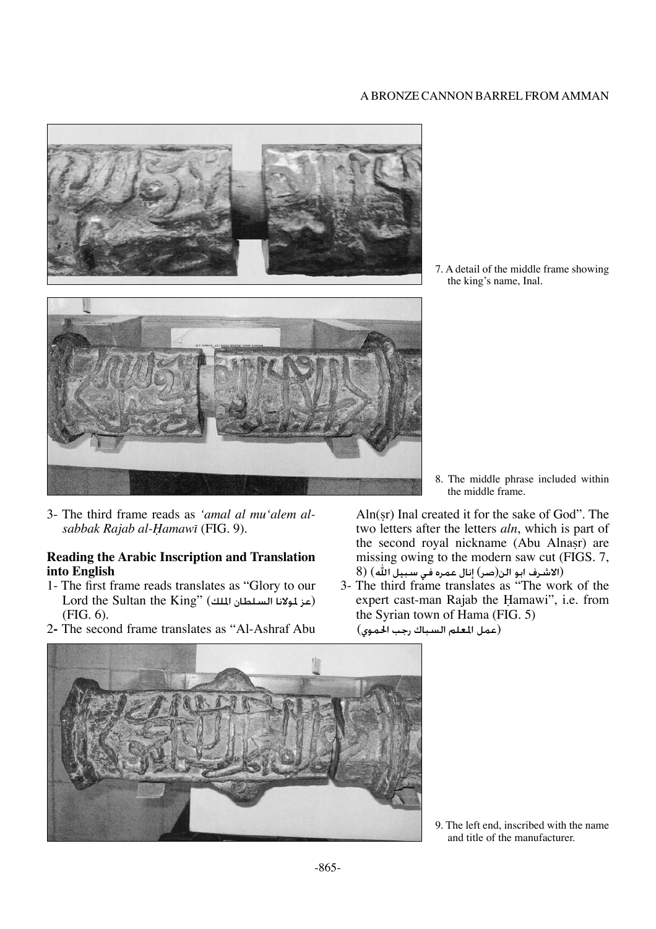## A bronze cannon barrel from Amman



7. A detail of the middle frame showing the king's name, Inal.

3- The third frame reads as *'amal al mu'alem alsabbak Rajab al-Hamawī* (FIG. 9).

## **Reading the Arabic Inscription and Translation into English**

- 1- The first frame reads translates as "Glory to our Lord the Sultan the King" (عز لمولانا السلطان الملك) (FIG. 6).
- 2The second frame translates as "Al-Ashraf Abu

8. The middle phrase included within the middle frame.

Aln(ßr) Inal created it for the sake of God". The two letters after the letters *aln*, which is part of the second royal nickname (Abu Alnasr) are missing owing to the modern saw cut (FIGS. 7, (الاشرف ابو الن(صر) إنال عمره في سبيل الله) (8

3- The third frame translates as "The work of the expert cast-man Rajab the Hamawi", i.e. from the Syrian town of Hama (FIG. 5) (عمل املعلم السباك رجب احلموي)



9. The left end, inscribed with the name and title of the manufacturer.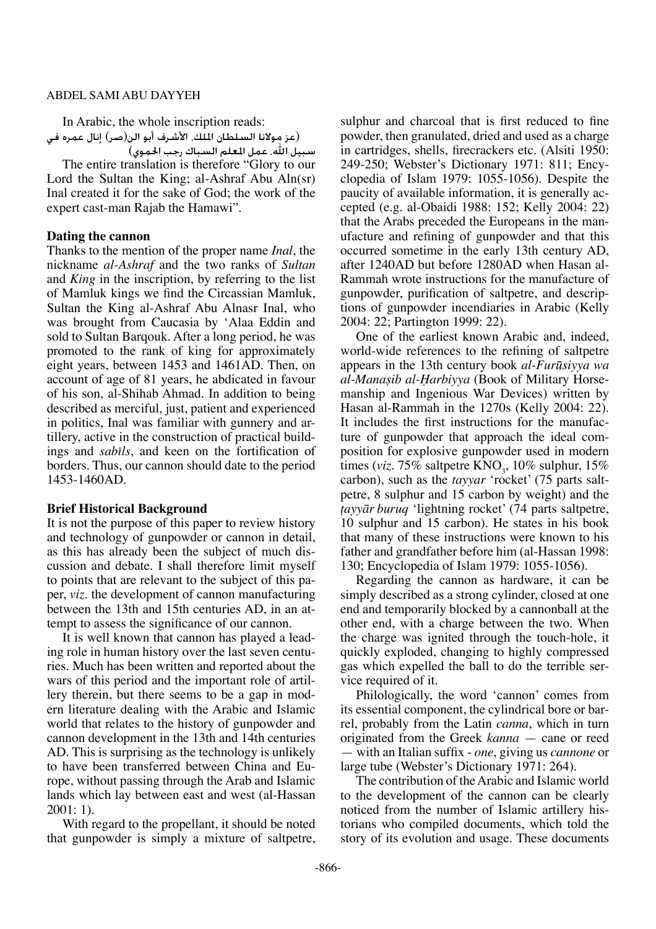In Arabic, the whole inscription reads: (عز مولانا السلطان الملك، الأشرف أبو الن(صر) إنال عمره في

سبيل الله، عمل العلم السباك رجب الحموي) The entire translation is therefore "Glory to our Lord the Sultan the King; al-Ashraf Abu Aln(sr) Inal created it for the sake of God; the work of the expert cast-man Rajab the Hamawi".

## **Dating the cannon**

Thanks to the mention of the proper name *Inal*, the nickname *al-Ashraf* and the two ranks of *Sultan* and *King* in the inscription, by referring to the list of Mamluk kings we find the Circassian Mamluk, Sultan the King al-Ashraf Abu Alnasr Inal, who was brought from Caucasia by 'Alaa Eddin and sold to Sultan Barqouk. After a long period, he was promoted to the rank of king for approximately eight years, between 1453 and 1461AD. Then, on account of age of 81 years, he abdicated in favour of his son, al-Shihab Ahmad. In addition to being described as merciful, just, patient and experienced in politics, Inal was familiar with gunnery and artillery, active in the construction of practical buildings and *sabils*, and keen on the fortification of borders. Thus, our cannon should date to the period 1453-1460AD.

#### **Brief Historical Background**

It is not the purpose of this paper to review history and technology of gunpowder or cannon in detail, as this has already been the subject of much discussion and debate. I shall therefore limit myself to points that are relevant to the subject of this paper, *viz*. the development of cannon manufacturing between the 13th and 15th centuries AD, in an attempt to assess the significance of our cannon.

It is well known that cannon has played a leading role in human history over the last seven centuries. Much has been written and reported about the wars of this period and the important role of artillery therein, but there seems to be a gap in modern literature dealing with the Arabic and Islamic world that relates to the history of gunpowder and cannon development in the 13th and 14th centuries AD. This is surprising as the technology is unlikely to have been transferred between China and Europe, without passing through the Arab and Islamic lands which lay between east and west (al-Hassan 2001: 1).

With regard to the propellant, it should be noted that gunpowder is simply a mixture of saltpetre, sulphur and charcoal that is first reduced to fine powder, then granulated, dried and used as a charge in cartridges, shells, firecrackers etc. (Alsiti 1950: 249-250; Webster's Dictionary 1971: 811; Encyclopedia of Islam 1979: 1055-1056). Despite the paucity of available information, it is generally accepted (e.g. al-Obaidi 1988: 152; Kelly 2004: 22) that the Arabs preceded the Europeans in the manufacture and refining of gunpowder and that this occurred sometime in the early 13th century AD, after 1240AD but before 1280AD when Hasan al-Rammah wrote instructions for the manufacture of gunpowder, purification of saltpetre, and descriptions of gunpowder incendiaries in Arabic (Kelly 2004: 22; Partington 1999: 22).

One of the earliest known Arabic and, indeed, world-wide references to the refining of saltpetre appears in the 13th century book *al-Furøsiyya wa al-Manaşib al-Harbiyya* (Book of Military Horsemanship and Ingenious War Devices) written by Hasan al-Rammah in the 1270s (Kelly 2004: 22). It includes the first instructions for the manufacture of gunpowder that approach the ideal composition for explosive gunpowder used in modern times (*viz.* 75% saltpetre  $\text{KNO}_3$ , 10% sulphur, 15% carbon), such as the *tayyar* 'rocket' (75 parts saltpetre, 8 sulphur and 15 carbon by weight) and the *†ayyår buruq* 'lightning rocket' (74 parts saltpetre, 10 sulphur and 15 carbon). He states in his book that many of these instructions were known to his father and grandfather before him (al-Hassan 1998: 130; Encyclopedia of Islam 1979: 1055-1056).

Regarding the cannon as hardware, it can be simply described as a strong cylinder, closed at one end and temporarily blocked by a cannonball at the other end, with a charge between the two. When the charge was ignited through the touch-hole, it quickly exploded, changing to highly compressed gas which expelled the ball to do the terrible service required of it.

Philologically, the word 'cannon' comes from its essential component, the cylindrical bore or barrel, probably from the Latin *canna*, which in turn originated from the Greek *kanna* — cane or reed — with an Italian suffix - *one*, giving us *cannone* or large tube (Webster's Dictionary 1971: 264).

The contribution of the Arabic and Islamic world to the development of the cannon can be clearly noticed from the number of Islamic artillery historians who compiled documents, which told the story of its evolution and usage. These documents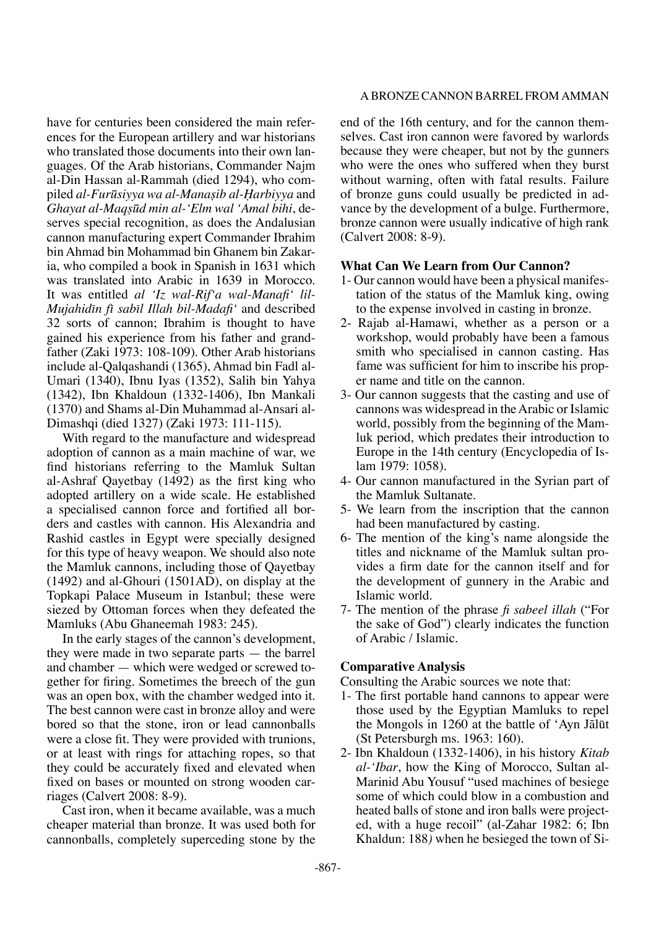have for centuries been considered the main references for the European artillery and war historians who translated those documents into their own languages. Of the Arab historians, Commander Najm al-Din Hassan al-Rammah (died 1294), who compiled *al-Furøsiyya wa al-Manaßib al-Óarbiyya* and *Ghayat al-Maqßød min al-'Elm wal 'Amal bihi*, deserves special recognition, as does the Andalusian cannon manufacturing expert Commander Ibrahim bin Ahmad bin Mohammad bin Ghanem bin Zakaria, who compiled a book in Spanish in 1631 which was translated into Arabic in 1639 in Morocco. It was entitled *al 'Iz wal-Rif'a wal-Manafi' lil-Mujahidπn fπ sabπl Illah bil-Madafi'* and described 32 sorts of cannon; Ibrahim is thought to have gained his experience from his father and grandfather (Zaki 1973: 108-109). Other Arab historians include al-Qalqashandi (1365), Ahmad bin Fadl al-Umari (1340), Ibnu Iyas (1352), Salih bin Yahya (1342), Ibn Khaldoun (1332-1406), Ibn Mankali (1370) and Shams al-Din Muhammad al-Ansari al-Dimashqi (died 1327) (Zaki 1973: 111-115)*.*

With regard to the manufacture and widespread adoption of cannon as a main machine of war, we find historians referring to the Mamluk Sultan al-Ashraf Qayetbay (1492) as the first king who adopted artillery on a wide scale. He established a specialised cannon force and fortified all borders and castles with cannon. His Alexandria and Rashid castles in Egypt were specially designed for this type of heavy weapon. We should also note the Mamluk cannons, including those of Qayetbay (1492) and al-Ghouri (1501AD), on display at the Topkapi Palace Museum in Istanbul; these were siezed by Ottoman forces when they defeated the Mamluks (Abu Ghaneemah 1983: 245)*.*

In the early stages of the cannon's development, they were made in two separate parts — the barrel and chamber — which were wedged or screwed together for firing. Sometimes the breech of the gun was an open box, with the chamber wedged into it. The best cannon were cast in bronze alloy and were bored so that the stone, iron or lead cannonballs were a close fit. They were provided with trunions, or at least with rings for attaching ropes, so that they could be accurately fixed and elevated when fixed on bases or mounted on strong wooden carriages (Calvert 2008: 8-9).

Cast iron, when it became available, was a much cheaper material than bronze. It was used both for cannonballs, completely superceding stone by the

#### A bronze cannon barrel from Amman

end of the 16th century, and for the cannon themselves. Cast iron cannon were favored by warlords because they were cheaper, but not by the gunners who were the ones who suffered when they burst without warning, often with fatal results. Failure of bronze guns could usually be predicted in advance by the development of a bulge. Furthermore, bronze cannon were usually indicative of high rank (Calvert 2008: 8-9).

#### **What Can We Learn from Our Cannon?**

- 1- Our cannon would have been a physical manifestation of the status of the Mamluk king, owing to the expense involved in casting in bronze.
- 2- Rajab al-Hamawi, whether as a person or a workshop, would probably have been a famous smith who specialised in cannon casting. Has fame was sufficient for him to inscribe his proper name and title on the cannon.
- 3- Our cannon suggests that the casting and use of cannons was widespread in the Arabic or Islamic world, possibly from the beginning of the Mamluk period, which predates their introduction to Europe in the 14th century (Encyclopedia of Islam 1979: 1058).
- 4- Our cannon manufactured in the Syrian part of the Mamluk Sultanate.
- 5- We learn from the inscription that the cannon had been manufactured by casting.
- 6- The mention of the king's name alongside the titles and nickname of the Mamluk sultan provides a firm date for the cannon itself and for the development of gunnery in the Arabic and Islamic world.
- 7- The mention of the phrase *fi sabeel illah* ("For the sake of God") clearly indicates the function of Arabic / Islamic.

#### **Comparative Analysis**

Consulting the Arabic sources we note that:

- 1- The first portable hand cannons to appear were those used by the Egyptian Mamluks to repel the Mongols in 1260 at the battle of 'Ayn Jåløt (St Petersburgh ms. 1963: 160).
- 2- Ibn Khaldoun (1332-1406), in his history *Kitab al-'Ibar*, how the King of Morocco, Sultan al-Marinid Abu Yousuf "used machines of besiege some of which could blow in a combustion and heated balls of stone and iron balls were projected, with a huge recoil" (al-Zahar 1982: 6; Ibn Khaldun: 188*)* when he besieged the town of Si-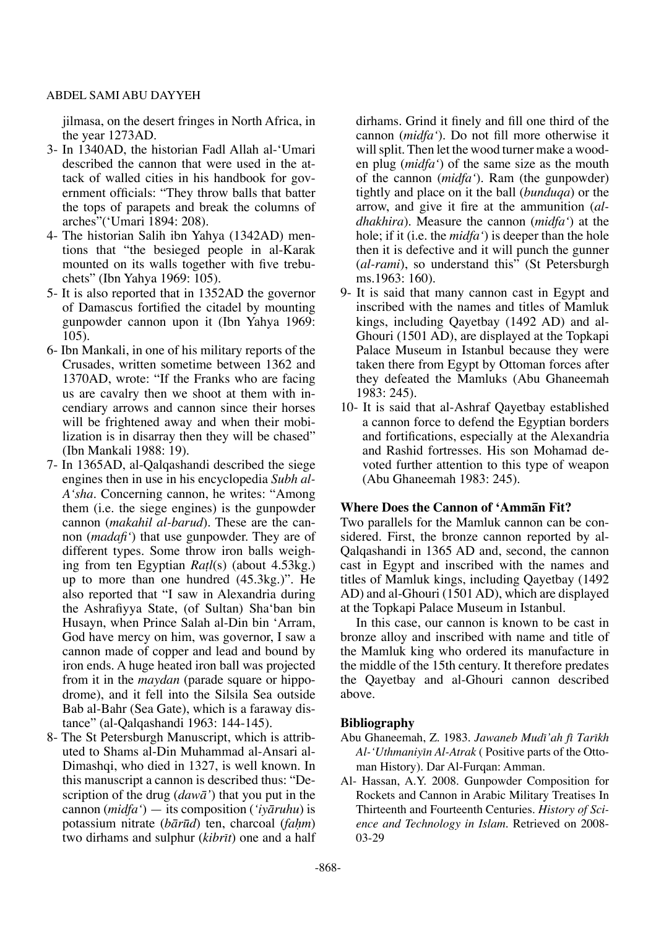jilmasa, on the desert fringes in North Africa, in the year 1273AD.

- 3- In 1340AD, the historian Fadl Allah al-'Umari described the cannon that were used in the attack of walled cities in his handbook for government officials: "They throw balls that batter the tops of parapets and break the columns of arches"('Umari 1894: 208).
- 4- The historian Salih ibn Yahya (1342AD) mentions that "the besieged people in al-Karak mounted on its walls together with five trebuchets" (Ibn Yahya 1969: 105).
- 5- It is also reported that in 1352AD the governor of Damascus fortified the citadel by mounting gunpowder cannon upon it (Ibn Yahya 1969: 105).
- 6- Ibn Mankali, in one of his military reports of the Crusades, written sometime between 1362 and 1370AD, wrote: "If the Franks who are facing us are cavalry then we shoot at them with incendiary arrows and cannon since their horses will be frightened away and when their mobilization is in disarray then they will be chased" (Ibn Mankali 1988: 19).
- 7- In 1365AD, al-Qalqashandi described the siege engines then in use in his encyclopedia *Subh al-A'sha*. Concerning cannon, he writes: "Among them (i.e. the siege engines) is the gunpowder cannon (*makahil al-barud*). These are the cannon (*madafi'*) that use gunpowder. They are of different types. Some throw iron balls weighing from ten Egyptian *Ra†l*(s) (about 4.53kg.) up to more than one hundred (45.3kg.)". He also reported that "I saw in Alexandria during the Ashrafiyya State, (of Sultan) Sha'ban bin Husayn, when Prince Salah al-Din bin 'Arram, God have mercy on him, was governor, I saw a cannon made of copper and lead and bound by iron ends. A huge heated iron ball was projected from it in the *maydan* (parade square or hippodrome), and it fell into the Silsila Sea outside Bab al-Bahr (Sea Gate), which is a faraway distance" (al-Qalqashandi 1963: 144-145).
- 8- The St Petersburgh Manuscript, which is attributed to Shams al-Din Muhammad al-Ansari al-Dimashqi, who died in 1327, is well known. In this manuscript a cannon is described thus: "Description of the drug (*dawå'*) that you put in the cannon (*midfa'*) — its composition (*'iyåruhu*) is potassium nitrate (*bārūd*) ten, charcoal (*fahm*) two dirhams and sulphur (*kibrīt*) one and a half

dirhams. Grind it finely and fill one third of the cannon (*midfa'*). Do not fill more otherwise it will split. Then let the wood turner make a wooden plug (*midfa'*) of the same size as the mouth of the cannon (*midfa'*). Ram (the gunpowder) tightly and place on it the ball (*bunduqa*) or the arrow, and give it fire at the ammunition (*aldhakhira*). Measure the cannon (*midfa'*) at the hole; if it (i.e. the *midfa'*) is deeper than the hole then it is defective and it will punch the gunner (*al-rami*), so understand this" (St Petersburgh ms.1963: 160).

- 9- It is said that many cannon cast in Egypt and inscribed with the names and titles of Mamluk kings, including Qayetbay (1492 AD) and al-Ghouri (1501 AD), are displayed at the Topkapi Palace Museum in Istanbul because they were taken there from Egypt by Ottoman forces after they defeated the Mamluks (Abu Ghaneemah 1983: 245).
- 10- It is said that al-Ashraf Qayetbay established a cannon force to defend the Egyptian borders and fortifications, especially at the Alexandria and Rashid fortresses. His son Mohamad devoted further attention to this type of weapon (Abu Ghaneemah 1983: 245).

## **Where Does the Cannon of 'Ammån Fit?**

Two parallels for the Mamluk cannon can be considered. First, the bronze cannon reported by al-Qalqashandi in 1365 AD and, second, the cannon cast in Egypt and inscribed with the names and titles of Mamluk kings, including Qayetbay (1492 AD) and al-Ghouri (1501 AD), which are displayed at the Topkapi Palace Museum in Istanbul.

In this case, our cannon is known to be cast in bronze alloy and inscribed with name and title of the Mamluk king who ordered its manufacture in the middle of the 15th century. It therefore predates the Qayetbay and al-Ghouri cannon described above.

## **Bibliography**

- Abu Ghaneemah, Z. 1983. *Jawaneb Mudπ'ah fπ Tarπkh Al-'Uthmaniyπn Al-Atrak* ( Positive parts of the Ottoman History). Dar Al-Furqan: Amman.
- Al- Hassan, A.Y. 2008. Gunpowder Composition for Rockets and Cannon in Arabic Military Treatises In Thirteenth and Fourteenth Centuries. *History of Science and Technology in Islam*. Retrieved on 2008- 03-29